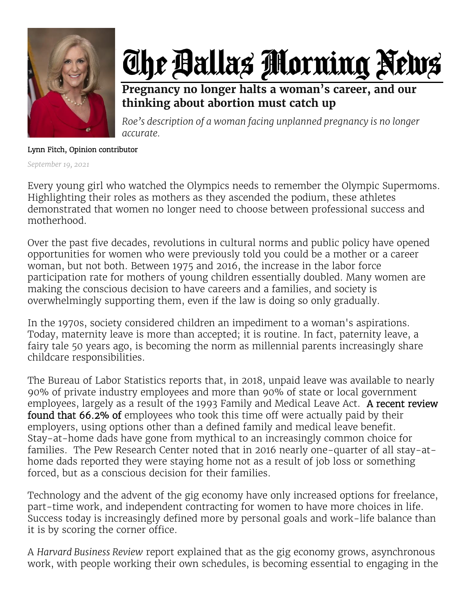

## The Ballas Morning News

**Pregnancy no longer halts a woman's career, and our thinking about abortion must catch up**

*Roe's description of a woman facing unplanned pregnancy is no longer accurate.*

## Lynn Fitch, Opinion contributor

*September 19, 2021*

Every young girl who watched the Olympics needs to remember the Olympic Supermoms. Highlighting their roles as mothers as they ascended the podium, these athletes demonstrated that women no longer need to choose between professional success and motherhood.

Over the past five decades, revolutions in cultural norms and public policy have opened opportunities for women who were previously told you could be a mother or a career woman, but not both. Between 1975 and 2016, the increase in the labor force participation rate for mothers of young children essentially doubled. Many women are making the conscious decision to have careers and a families, and society is overwhelmingly supporting them, even if the law is doing so only gradually.

In the 1970s, society considered children an impediment to a woman's aspirations. Today, maternity leave is more than accepted; it is routine. In fact, paternity leave, a fairy tale 50 years ago, is becoming the norm as millennial parents increasingly share childcare responsibilities.

The Bureau of Labor Statistics reports that, in 2018, unpaid leave was available to nearly 90% of private industry employees and more than 90% of state or local government employees, largely as a result of the 1993 Family and Medical Leave Act. A recent review found that 66.2% of employees who took this time off were actually paid by their employers, using options other than a defined family and medical leave benefit. Stay-at-home dads have gone from mythical to an increasingly common choice for families. The Pew Research Center noted that in 2016 nearly one-quarter of all stay-athome dads reported they were staying home not as a result of job loss or something forced, but as a conscious decision for their families.

Technology and the advent of the gig economy have only increased options for freelance, part-time work, and independent contracting for women to have more choices in life. Success today is increasingly defined more by personal goals and work-life balance than it is by scoring the corner office.

A *Harvard Business Review* report explained that as the gig economy grows, asynchronous work, with people working their own schedules, is becoming essential to engaging in the